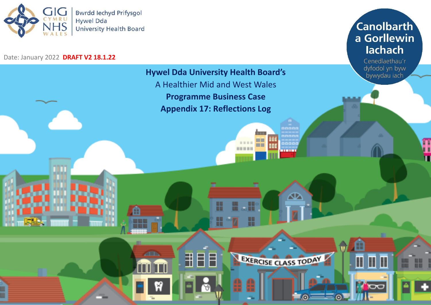

## Date: January 2022 **DRAFT V2 18.1.22**

**Canolbarth** a Gorllewin lachach

> Cenedlaethau'r dyfodol yn byw bywydau iach

Œ

Ī

G

ΠT

Moo

Π

**Hywel Dda University Health Board's** A Healthier Mid and West Wales **Programme Business Case Appendix 17: Reflections Log**

nnnnn

ooood

☎

EXERCISE CLASS TODAY

ъ

m

m

**DOM: NORTH** 

**UL** 

1

8

æ

用目目

H

₩

A

ا کا ک

**ZEIN** 

TГ

ň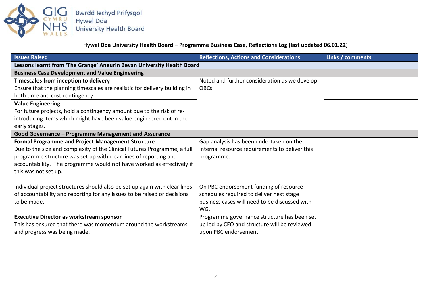

**Hywel Dda University Health Board – Programme Business Case, Reflections Log (last updated 06.01.22)**

| <b>Issues Raised</b>                                                       | <b>Reflections, Actions and Considerations</b>                                              | Links / comments |
|----------------------------------------------------------------------------|---------------------------------------------------------------------------------------------|------------------|
| Lessons learnt from 'The Grange' Aneurin Bevan University Health Board     |                                                                                             |                  |
| <b>Business Case Development and Value Engineering</b>                     |                                                                                             |                  |
| Timescales from inception to delivery                                      | Noted and further consideration as we develop                                               |                  |
| Ensure that the planning timescales are realistic for delivery building in | OBCs.                                                                                       |                  |
| both time and cost contingency                                             |                                                                                             |                  |
| <b>Value Engineering</b>                                                   |                                                                                             |                  |
| For future projects, hold a contingency amount due to the risk of re-      |                                                                                             |                  |
| introducing items which might have been value engineered out in the        |                                                                                             |                  |
| early stages.                                                              |                                                                                             |                  |
| Good Governance - Programme Management and Assurance                       |                                                                                             |                  |
| <b>Formal Programme and Project Management Structure</b>                   | Gap analysis has been undertaken on the                                                     |                  |
| Due to the size and complexity of the Clinical Futures Programme, a full   | internal resource requirements to deliver this                                              |                  |
| programme structure was set up with clear lines of reporting and           | programme.                                                                                  |                  |
| accountability. The programme would not have worked as effectively if      |                                                                                             |                  |
| this was not set up.                                                       |                                                                                             |                  |
|                                                                            |                                                                                             |                  |
| Individual project structures should also be set up again with clear lines | On PBC endorsement funding of resource                                                      |                  |
| of accountability and reporting for any issues to be raised or decisions   | schedules required to deliver next stage<br>business cases will need to be discussed with   |                  |
| to be made.                                                                | WG.                                                                                         |                  |
| <b>Executive Director as workstream sponsor</b>                            |                                                                                             |                  |
| This has ensured that there was momentum around the workstreams            | Programme governance structure has been set<br>up led by CEO and structure will be reviewed |                  |
| and progress was being made.                                               | upon PBC endorsement.                                                                       |                  |
|                                                                            |                                                                                             |                  |
|                                                                            |                                                                                             |                  |
|                                                                            |                                                                                             |                  |
|                                                                            |                                                                                             |                  |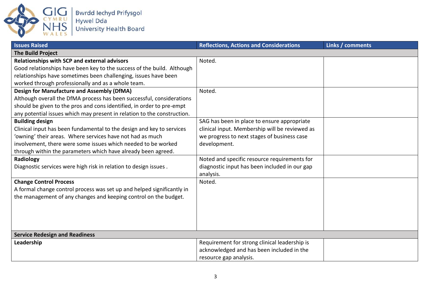

| <b>Issues Raised</b>                                                    | <b>Reflections, Actions and Considerations</b> | Links / comments |
|-------------------------------------------------------------------------|------------------------------------------------|------------------|
| <b>The Build Project</b>                                                |                                                |                  |
| <b>Relationships with SCP and external advisors</b>                     | Noted.                                         |                  |
| Good relationships have been key to the success of the build. Although  |                                                |                  |
| relationships have sometimes been challenging, issues have been         |                                                |                  |
| worked through professionally and as a whole team.                      |                                                |                  |
| <b>Design for Manufacture and Assembly (DfMA)</b>                       | Noted.                                         |                  |
| Although overall the DfMA process has been successful, considerations   |                                                |                  |
| should be given to the pros and cons identified, in order to pre-empt   |                                                |                  |
| any potential issues which may present in relation to the construction. |                                                |                  |
| <b>Building design</b>                                                  | SAG has been in place to ensure appropriate    |                  |
| Clinical input has been fundamental to the design and key to services   | clinical input. Membership will be reviewed as |                  |
| 'owning' their areas. Where services have not had as much               | we progress to next stages of business case    |                  |
| involvement, there were some issues which needed to be worked           | development.                                   |                  |
| through within the parameters which have already been agreed.           |                                                |                  |
| Radiology                                                               | Noted and specific resource requirements for   |                  |
| Diagnostic services were high risk in relation to design issues.        | diagnostic input has been included in our gap  |                  |
|                                                                         | analysis.                                      |                  |
| <b>Change Control Process</b>                                           | Noted.                                         |                  |
| A formal change control process was set up and helped significantly in  |                                                |                  |
| the management of any changes and keeping control on the budget.        |                                                |                  |
|                                                                         |                                                |                  |
|                                                                         |                                                |                  |
|                                                                         |                                                |                  |
|                                                                         |                                                |                  |
| <b>Service Redesign and Readiness</b>                                   |                                                |                  |
| Leadership                                                              | Requirement for strong clinical leadership is  |                  |
|                                                                         | acknowledged and has been included in the      |                  |
|                                                                         | resource gap analysis.                         |                  |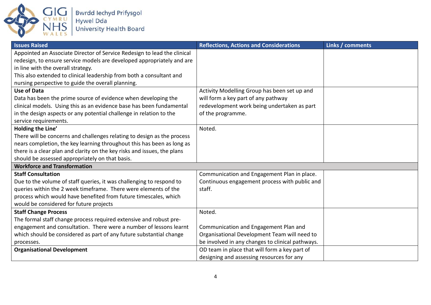

| <b>Issues Raised</b>                                                     | <b>Reflections, Actions and Considerations</b>   | Links / comments |
|--------------------------------------------------------------------------|--------------------------------------------------|------------------|
| Appointed an Associate Director of Service Redesign to lead the clinical |                                                  |                  |
| redesign, to ensure service models are developed appropriately and are   |                                                  |                  |
| in line with the overall strategy.                                       |                                                  |                  |
| This also extended to clinical leadership from both a consultant and     |                                                  |                  |
| nursing perspective to guide the overall planning.                       |                                                  |                  |
| <b>Use of Data</b>                                                       | Activity Modelling Group has been set up and     |                  |
| Data has been the prime source of evidence when developing the           | will form a key part of any pathway              |                  |
| clinical models. Using this as an evidence base has been fundamental     | redevelopment work being undertaken as part      |                  |
| in the design aspects or any potential challenge in relation to the      | of the programme.                                |                  |
| service requirements.                                                    |                                                  |                  |
| Holding the Line'                                                        | Noted.                                           |                  |
| There will be concerns and challenges relating to design as the process  |                                                  |                  |
| nears completion, the key learning throughout this has been as long as   |                                                  |                  |
| there is a clear plan and clarity on the key risks and issues, the plans |                                                  |                  |
| should be assessed appropriately on that basis.                          |                                                  |                  |
| <b>Workforce and Transformation</b>                                      |                                                  |                  |
| <b>Staff Consultation</b>                                                | Communication and Engagement Plan in place.      |                  |
| Due to the volume of staff queries, it was challenging to respond to     | Continuous engagement process with public and    |                  |
| queries within the 2 week timeframe. There were elements of the          | staff.                                           |                  |
| process which would have benefited from future timescales, which         |                                                  |                  |
| would be considered for future projects                                  |                                                  |                  |
| <b>Staff Change Process</b>                                              | Noted.                                           |                  |
| The formal staff change process required extensive and robust pre-       |                                                  |                  |
| engagement and consultation. There were a number of lessons learnt       | Communication and Engagement Plan and            |                  |
| which should be considered as part of any future substantial change      | Organisational Development Team will need to     |                  |
| processes.                                                               | be involved in any changes to clinical pathways. |                  |
| <b>Organisational Development</b>                                        | OD team in place that will form a key part of    |                  |
|                                                                          | designing and assessing resources for any        |                  |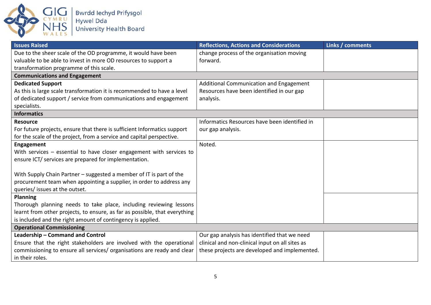

| <b>Issues Raised</b>                                                       | <b>Reflections, Actions and Considerations</b>  | Links / comments |
|----------------------------------------------------------------------------|-------------------------------------------------|------------------|
| Due to the sheer scale of the OD programme, it would have been             | change process of the organisation moving       |                  |
| valuable to be able to invest in more OD resources to support a            | forward.                                        |                  |
| transformation programme of this scale.                                    |                                                 |                  |
| <b>Communications and Engagement</b>                                       |                                                 |                  |
| <b>Dedicated Support</b>                                                   | Additional Communication and Engagement         |                  |
| As this is large scale transformation it is recommended to have a level    | Resources have been identified in our gap       |                  |
| of dedicated support / service from communications and engagement          | analysis.                                       |                  |
| specialists.                                                               |                                                 |                  |
| <b>Informatics</b>                                                         |                                                 |                  |
| <b>Resource</b>                                                            | Informatics Resources have been identified in   |                  |
| For future projects, ensure that there is sufficient Informatics support   | our gap analysis.                               |                  |
| for the scale of the project, from a service and capital perspective.      |                                                 |                  |
| Engagement                                                                 | Noted.                                          |                  |
| With services $-$ essential to have closer engagement with services to     |                                                 |                  |
| ensure ICT/ services are prepared for implementation.                      |                                                 |                  |
|                                                                            |                                                 |                  |
| With Supply Chain Partner - suggested a member of IT is part of the        |                                                 |                  |
| procurement team when appointing a supplier, in order to address any       |                                                 |                  |
| queries/ issues at the outset.                                             |                                                 |                  |
| Planning                                                                   |                                                 |                  |
| Thorough planning needs to take place, including reviewing lessons         |                                                 |                  |
| learnt from other projects, to ensure, as far as possible, that everything |                                                 |                  |
| is included and the right amount of contingency is applied.                |                                                 |                  |
| <b>Operational Commissioning</b>                                           |                                                 |                  |
| Leadership - Command and Control                                           | Our gap analysis has identified that we need    |                  |
| Ensure that the right stakeholders are involved with the operational       | clinical and non-clinical input on all sites as |                  |
| commissioning to ensure all services/ organisations are ready and clear    | these projects are developed and implemented.   |                  |
| in their roles.                                                            |                                                 |                  |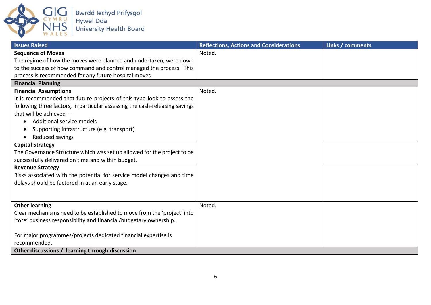

| <b>Issues Raised</b>                                                        | <b>Reflections, Actions and Considerations</b> | Links / comments |
|-----------------------------------------------------------------------------|------------------------------------------------|------------------|
| <b>Sequence of Moves</b>                                                    | Noted.                                         |                  |
| The regime of how the moves were planned and undertaken, were down          |                                                |                  |
| to the success of how command and control managed the process. This         |                                                |                  |
| process is recommended for any future hospital moves                        |                                                |                  |
| <b>Financial Planning</b>                                                   |                                                |                  |
| <b>Financial Assumptions</b>                                                | Noted.                                         |                  |
| It is recommended that future projects of this type look to assess the      |                                                |                  |
| following three factors, in particular assessing the cash-releasing savings |                                                |                  |
| that will be achieved $-$                                                   |                                                |                  |
| Additional service models                                                   |                                                |                  |
| Supporting infrastructure (e.g. transport)<br>$\bullet$                     |                                                |                  |
| Reduced savings                                                             |                                                |                  |
| <b>Capital Strategy</b>                                                     |                                                |                  |
| The Governance Structure which was set up allowed for the project to be     |                                                |                  |
| successfully delivered on time and within budget.                           |                                                |                  |
| <b>Revenue Strategy</b>                                                     |                                                |                  |
| Risks associated with the potential for service model changes and time      |                                                |                  |
| delays should be factored in at an early stage.                             |                                                |                  |
|                                                                             |                                                |                  |
|                                                                             |                                                |                  |
| <b>Other learning</b>                                                       | Noted.                                         |                  |
| Clear mechanisms need to be established to move from the 'project' into     |                                                |                  |
| 'core' business responsibility and financial/budgetary ownership.           |                                                |                  |
|                                                                             |                                                |                  |
| For major programmes/projects dedicated financial expertise is              |                                                |                  |
| recommended.                                                                |                                                |                  |
| Other discussions / learning through discussion                             |                                                |                  |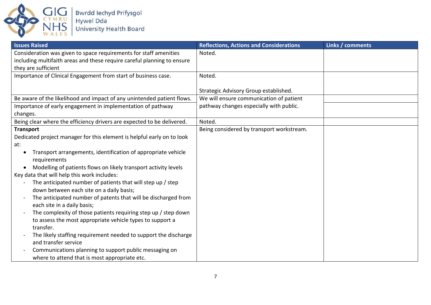

| <b>Issues Raised</b>                                                                       | <b>Reflections, Actions and Considerations</b> | Links / comments |
|--------------------------------------------------------------------------------------------|------------------------------------------------|------------------|
| Consideration was given to space requirements for staff amenities                          | Noted.                                         |                  |
| including multifaith areas and these require careful planning to ensure                    |                                                |                  |
| they are sufficient                                                                        |                                                |                  |
| Importance of Clinical Engagement from start of business case.                             | Noted.                                         |                  |
|                                                                                            |                                                |                  |
|                                                                                            | Strategic Advisory Group established.          |                  |
| Be aware of the likelihood and impact of any unintended patient flows.                     | We will ensure communication of patient        |                  |
| Importance of early engagement in implementation of pathway                                | pathway changes especially with public.        |                  |
| changes.                                                                                   |                                                |                  |
| Being clear where the efficiency drivers are expected to be delivered.                     | Noted.                                         |                  |
| <b>Transport</b>                                                                           | Being considered by transport workstream.      |                  |
| Dedicated project manager for this element is helpful early on to look                     |                                                |                  |
| at:                                                                                        |                                                |                  |
| Transport arrangements, identification of appropriate vehicle<br>٠                         |                                                |                  |
| requirements                                                                               |                                                |                  |
| Modelling of patients flows on likely transport activity levels<br>٠                       |                                                |                  |
| Key data that will help this work includes:                                                |                                                |                  |
| The anticipated number of patients that will step up / step<br>$\overline{\phantom{a}}$    |                                                |                  |
| down between each site on a daily basis;                                                   |                                                |                  |
| The anticipated number of patents that will be discharged from<br>$\overline{\phantom{0}}$ |                                                |                  |
| each site in a daily basis;                                                                |                                                |                  |
| The complexity of those patients requiring step up / step down                             |                                                |                  |
| to assess the most appropriate vehicle types to support a                                  |                                                |                  |
| transfer.                                                                                  |                                                |                  |
| The likely staffing requirement needed to support the discharge<br>$\overline{a}$          |                                                |                  |
| and transfer service                                                                       |                                                |                  |
| Communications planning to support public messaging on                                     |                                                |                  |
| where to attend that is most appropriate etc.                                              |                                                |                  |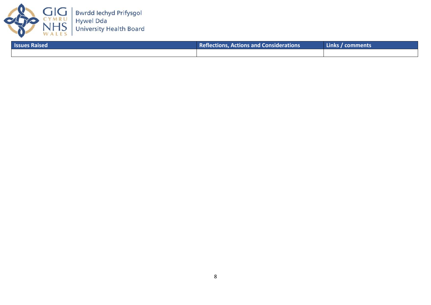

| <b>Issues Raised</b> | <b>Reflections, Actions and Considerations</b> | Links / comments \ |
|----------------------|------------------------------------------------|--------------------|
|                      |                                                |                    |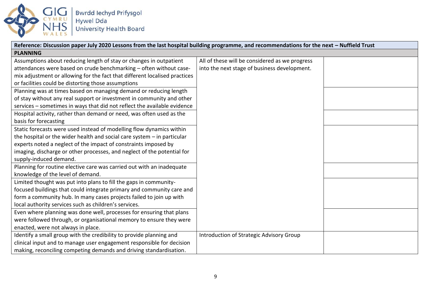

| Reference: Discussion paper July 2020 Lessons from the last hospital building programme, and recommendations for the next - Nuffield Trust |                                                |  |
|--------------------------------------------------------------------------------------------------------------------------------------------|------------------------------------------------|--|
| <b>PLANNING</b>                                                                                                                            |                                                |  |
| Assumptions about reducing length of stay or changes in outpatient                                                                         | All of these will be considered as we progress |  |
| attendances were based on crude benchmarking - often without case-                                                                         | into the next stage of business development.   |  |
| mix adjustment or allowing for the fact that different localised practices                                                                 |                                                |  |
| or facilities could be distorting those assumptions                                                                                        |                                                |  |
| Planning was at times based on managing demand or reducing length                                                                          |                                                |  |
| of stay without any real support or investment in community and other                                                                      |                                                |  |
| services - sometimes in ways that did not reflect the available evidence                                                                   |                                                |  |
| Hospital activity, rather than demand or need, was often used as the                                                                       |                                                |  |
| basis for forecasting                                                                                                                      |                                                |  |
| Static forecasts were used instead of modelling flow dynamics within                                                                       |                                                |  |
| the hospital or the wider health and social care system $-$ in particular                                                                  |                                                |  |
| experts noted a neglect of the impact of constraints imposed by                                                                            |                                                |  |
| imaging, discharge or other processes, and neglect of the potential for                                                                    |                                                |  |
| supply-induced demand.                                                                                                                     |                                                |  |
| Planning for routine elective care was carried out with an inadequate                                                                      |                                                |  |
| knowledge of the level of demand.                                                                                                          |                                                |  |
| Limited thought was put into plans to fill the gaps in community-                                                                          |                                                |  |
| focused buildings that could integrate primary and community care and                                                                      |                                                |  |
| form a community hub. In many cases projects failed to join up with                                                                        |                                                |  |
| local authority services such as children's services.                                                                                      |                                                |  |
| Even where planning was done well, processes for ensuring that plans                                                                       |                                                |  |
| were followed through, or organisational memory to ensure they were                                                                        |                                                |  |
| enacted, were not always in place.                                                                                                         |                                                |  |
| Identify a small group with the credibility to provide planning and                                                                        | Introduction of Strategic Advisory Group       |  |
| clinical input and to manage user engagement responsible for decision                                                                      |                                                |  |
| making, reconciling competing demands and driving standardisation.                                                                         |                                                |  |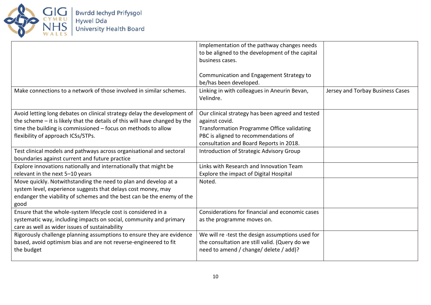

Bwrdd Iechyd Prifysgol<br>Hywel Dda<br>University Health Board

|                                                                             | Implementation of the pathway changes needs<br>to be aligned to the development of the capital<br>business cases. |                                  |
|-----------------------------------------------------------------------------|-------------------------------------------------------------------------------------------------------------------|----------------------------------|
|                                                                             | Communication and Engagement Strategy to<br>be/has been developed.                                                |                                  |
| Make connections to a network of those involved in similar schemes.         | Linking in with colleagues in Aneurin Bevan,<br>Velindre.                                                         | Jersey and Torbay Business Cases |
| Avoid letting long debates on clinical strategy delay the development of    | Our clinical strategy has been agreed and tested                                                                  |                                  |
| the scheme - it is likely that the details of this will have changed by the | against covid.                                                                                                    |                                  |
| time the building is commissioned $-$ focus on methods to allow             | <b>Transformation Programme Office validating</b>                                                                 |                                  |
| flexibility of approach ICSs/STPs.                                          | PBC is aligned to recommendations of                                                                              |                                  |
|                                                                             | consultation and Board Reports in 2018.                                                                           |                                  |
| Test clinical models and pathways across organisational and sectoral        | Introduction of Strategic Advisory Group                                                                          |                                  |
| boundaries against current and future practice                              |                                                                                                                   |                                  |
| Explore innovations nationally and internationally that might be            | Links with Research and Innovation Team                                                                           |                                  |
| relevant in the next 5-10 years                                             | Explore the impact of Digital Hospital                                                                            |                                  |
| Move quickly. Notwithstanding the need to plan and develop at a             | Noted.                                                                                                            |                                  |
| system level, experience suggests that delays cost money, may               |                                                                                                                   |                                  |
| endanger the viability of schemes and the best can be the enemy of the      |                                                                                                                   |                                  |
| good                                                                        |                                                                                                                   |                                  |
| Ensure that the whole-system lifecycle cost is considered in a              | Considerations for financial and economic cases                                                                   |                                  |
| systematic way, including impacts on social, community and primary          | as the programme moves on.                                                                                        |                                  |
| care as well as wider issues of sustainability                              |                                                                                                                   |                                  |
| Rigorously challenge planning assumptions to ensure they are evidence       | We will re-test the design assumptions used for                                                                   |                                  |
| based, avoid optimism bias and are not reverse-engineered to fit            | the consultation are still valid. (Query do we                                                                    |                                  |
| the budget                                                                  | need to amend / change/ delete / add)?                                                                            |                                  |
|                                                                             |                                                                                                                   |                                  |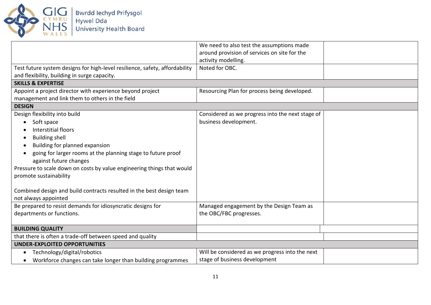

|                                                                             | We need to also test the assumptions made        |  |
|-----------------------------------------------------------------------------|--------------------------------------------------|--|
|                                                                             | around provision of services on site for the     |  |
|                                                                             | activity modelling.                              |  |
| Test future system designs for high-level resilience, safety, affordability | Noted for OBC.                                   |  |
| and flexibility, building in surge capacity.                                |                                                  |  |
| <b>SKILLS &amp; EXPERTISE</b>                                               |                                                  |  |
| Appoint a project director with experience beyond project                   | Resourcing Plan for process being developed.     |  |
| management and link them to others in the field                             |                                                  |  |
| <b>DESIGN</b>                                                               |                                                  |  |
| Design flexibility into build                                               | Considered as we progress into the next stage of |  |
| Soft space<br>$\bullet$                                                     | business development.                            |  |
| Interstitial floors                                                         |                                                  |  |
| <b>Building shell</b><br>٠                                                  |                                                  |  |
| Building for planned expansion<br>$\bullet$                                 |                                                  |  |
| going for larger rooms at the planning stage to future proof<br>$\bullet$   |                                                  |  |
| against future changes                                                      |                                                  |  |
| Pressure to scale down on costs by value engineering things that would      |                                                  |  |
| promote sustainability                                                      |                                                  |  |
|                                                                             |                                                  |  |
| Combined design and build contracts resulted in the best design team        |                                                  |  |
| not always appointed                                                        |                                                  |  |
| Be prepared to resist demands for idiosyncratic designs for                 | Managed engagement by the Design Team as         |  |
| departments or functions.                                                   | the OBC/FBC progresses.                          |  |
|                                                                             |                                                  |  |
| <b>BUILDING QUALITY</b>                                                     |                                                  |  |
| that there is often a trade-off between speed and quality                   |                                                  |  |
| <b>UNDER-EXPLOITED OPPORTUNITIES</b>                                        |                                                  |  |
| Technology/digital/robotics<br>$\bullet$                                    | Will be considered as we progress into the next  |  |
| Workforce changes can take longer than building programmes<br>$\bullet$     | stage of business development                    |  |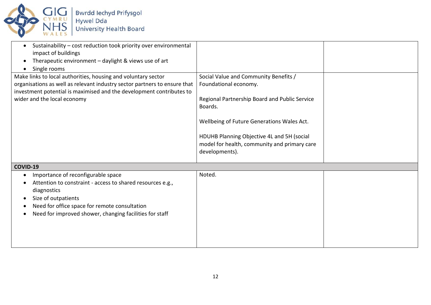

| Sustainability - cost reduction took priority over environmental<br>$\bullet$<br>impact of buildings<br>Therapeutic environment - daylight & views use of art<br>Single rooms                                                                      |                                                                                                                                                                                                                                                                                          |  |
|----------------------------------------------------------------------------------------------------------------------------------------------------------------------------------------------------------------------------------------------------|------------------------------------------------------------------------------------------------------------------------------------------------------------------------------------------------------------------------------------------------------------------------------------------|--|
| Make links to local authorities, housing and voluntary sector<br>organisations as well as relevant industry sector partners to ensure that<br>investment potential is maximised and the development contributes to<br>wider and the local economy  | Social Value and Community Benefits /<br>Foundational economy.<br>Regional Partnership Board and Public Service<br>Boards.<br>Wellbeing of Future Generations Wales Act.<br>HDUHB Planning Objective 4L and 5H (social<br>model for health, community and primary care<br>developments). |  |
| COVID-19                                                                                                                                                                                                                                           |                                                                                                                                                                                                                                                                                          |  |
| Importance of reconfigurable space<br>Attention to constraint - access to shared resources e.g.,<br>diagnostics<br>Size of outpatients<br>Need for office space for remote consultation<br>Need for improved shower, changing facilities for staff | Noted.                                                                                                                                                                                                                                                                                   |  |